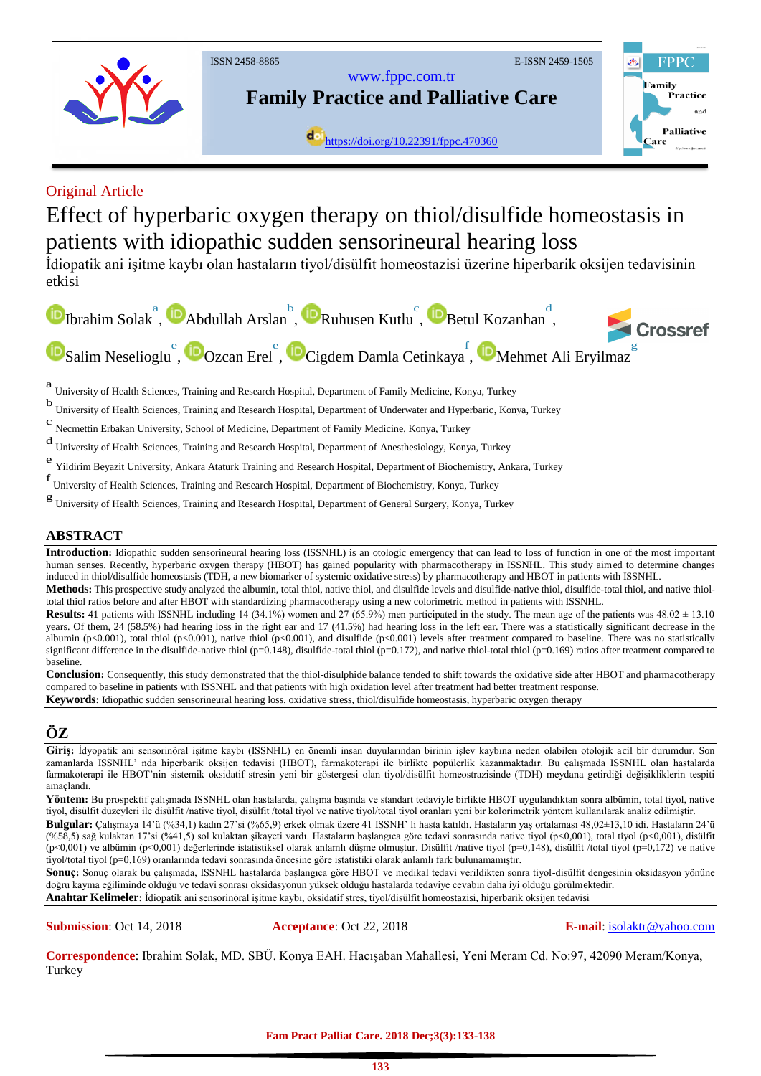

# Original Article

# Effect of hyperbaric oxygen therapy on thiol/disulfide homeostasis in patients with idiopathic sudden sensorineural hearing loss

İdiopatik ani işitme kaybı olan hastaların tiyol/disülfit homeostazisi üzerine hiperbarik oksijen tedavisinin etkisi



a University of Health Sciences, Training and Research Hospital, Department of Family Medicine, Konya, Turkey

b<br>University of Health Sciences, Training and Research Hospital, Department of Underwater and Hyperbaric, Konya, Turkey

c Necmettin Erbakan University, School of Medicine, Department of Family Medicine, Konya, Turkey

d University of Health Sciences, Training and Research Hospital, Department of Anesthesiology, Konya, Turkey

e Yildirim Beyazit University, Ankara Ataturk Training and Research Hospital, Department of Biochemistry, Ankara, Turkey

f<br>
University of Health Sciences, Training and Research Hospital, Department of Biochemistry, Konya, Turkey

g<br>
University of Health Sciences, Training and Research Hospital, Department of General Surgery, Konya, Turkey

# **ABSTRACT**

Introduction: Idiopathic sudden sensorineural hearing loss (ISSNHL) is an otologic emergency that can lead to loss of function in one of the most important human senses. Recently, hyperbaric oxygen therapy (HBOT) has gained popularity with pharmacotherapy in ISSNHL. This study aimed to determine changes induced in thiol/disulfide homeostasis (TDH, a new biomarker of systemic oxidative stress) by pharmacotherapy and HBOT in patients with ISSNHL.

**Methods:** This prospective study analyzed the albumin, total thiol, native thiol, and disulfide levels and disulfide-native thiol, disulfide-total thiol, and native thioltotal thiol ratios before and after HBOT with standardizing pharmacotherapy using a new colorimetric method in patients with ISSNHL.

**Results**: 41 patients with ISSNHL including 14 (34.1%) women and 27 (65.9%) men participated in the study. The mean age of the patients was  $48.02 \pm 13.10$ years. Of them, 24 (58.5%) had hearing loss in the right ear and 17 (41.5%) had hearing loss in the left ear. There was a statistically significant decrease in the albumin (p<0.001), total thiol (p<0.001), native thiol (p<0.001), and disulfide (p<0.001) levels after treatment compared to baseline. There was no statistically significant difference in the disulfide-native thiol (p=0.148), disulfide-total thiol (p=0.172), and native thiol-total thiol (p=0.169) ratios after treatment compared to baseline.

**Conclusion:** Consequently, this study demonstrated that the thiol-disulphide balance tended to shift towards the oxidative side after HBOT and pharmacotherapy compared to baseline in patients with ISSNHL and that patients with high oxidation level after treatment had better treatment response.

**Keywords:** Idiopathic sudden sensorineural hearing loss, oxidative stress, thiol/disulfide homeostasis, hyperbaric oxygen therapy

# **ÖZ**

**Giriş:** İdyopatik ani sensorinöral işitme kaybı (ISSNHL) en önemli insan duyularından birinin işlev kaybına neden olabilen otolojik acil bir durumdur. Son zamanlarda ISSNHL' nda hiperbarik oksijen tedavisi (HBOT), farmakoterapi ile birlikte popülerlik kazanmaktadır. Bu çalışmada ISSNHL olan hastalarda farmakoterapi ile HBOT'nin sistemik oksidatif stresin yeni bir göstergesi olan tiyol/disülfit homeostrazisinde (TDH) meydana getirdiği değişikliklerin tespiti amaçlandı.

**Yöntem:** Bu prospektif çalışmada ISSNHL olan hastalarda, çalışma başında ve standart tedaviyle birlikte HBOT uygulandıktan sonra albümin, total tiyol, native tiyol, disülfit düzeyleri ile disülfit /native tiyol, disülfit /total tiyol ve native tiyol/total tiyol oranları yeni bir kolorimetrik yöntem kullanılarak analiz edilmiştir.

**Bulgular:** Çalışmaya 14'ü (%34,1) kadın 27'si (%65,9) erkek olmak üzere 41 ISSNH' li hasta katıldı. Hastaların yaş ortalaması 48,02±13,10 idi. Hastaların 24'ü (%58,5) sağ kulaktan 17'si (%41,5) sol kulaktan şikayeti vardı. Hastaların başlangıca göre tedavi sonrasında native tiyol (p<0,001), total tiyol (p<0,001), disülfit (p<0,001) ve albümin (p<0,001) değerlerinde istatistiksel olarak anlamlı düşme olmuştur. Disülfit /native tiyol (p=0,148), disülfit /total tiyol (p=0,172) ve native tiyol/total tiyol (p=0,169) oranlarında tedavi sonrasında öncesine göre istatistiki olarak anlamlı fark bulunamamıştır.

**Sonuç:** Sonuç olarak bu çalışmada, ISSNHL hastalarda başlangıca göre HBOT ve medikal tedavi verildikten sonra tiyol-disülfit dengesinin oksidasyon yönüne doğru kayma eğiliminde olduğu ve tedavi sonrası oksidasyonun yüksek olduğu hastalarda tedaviye cevabın daha iyi olduğu görülmektedir.

**Anahtar Kelimeler:** İdiopatik ani sensorinöral işitme kaybı, oksidatif stres, tiyol/disülfit homeostazisi, hiperbarik oksijen tedavisi

**Submission**: Oct 14, 2018 **Acceptance**: Oct 22, 2018 **E-mail**: isolaktr@yahoo.com

**Correspondence**: Ibrahim Solak, MD. SBÜ. Konya EAH. Hacışaban Mahallesi, Yeni Meram Cd. No:97, 42090 Meram/Konya, Turkey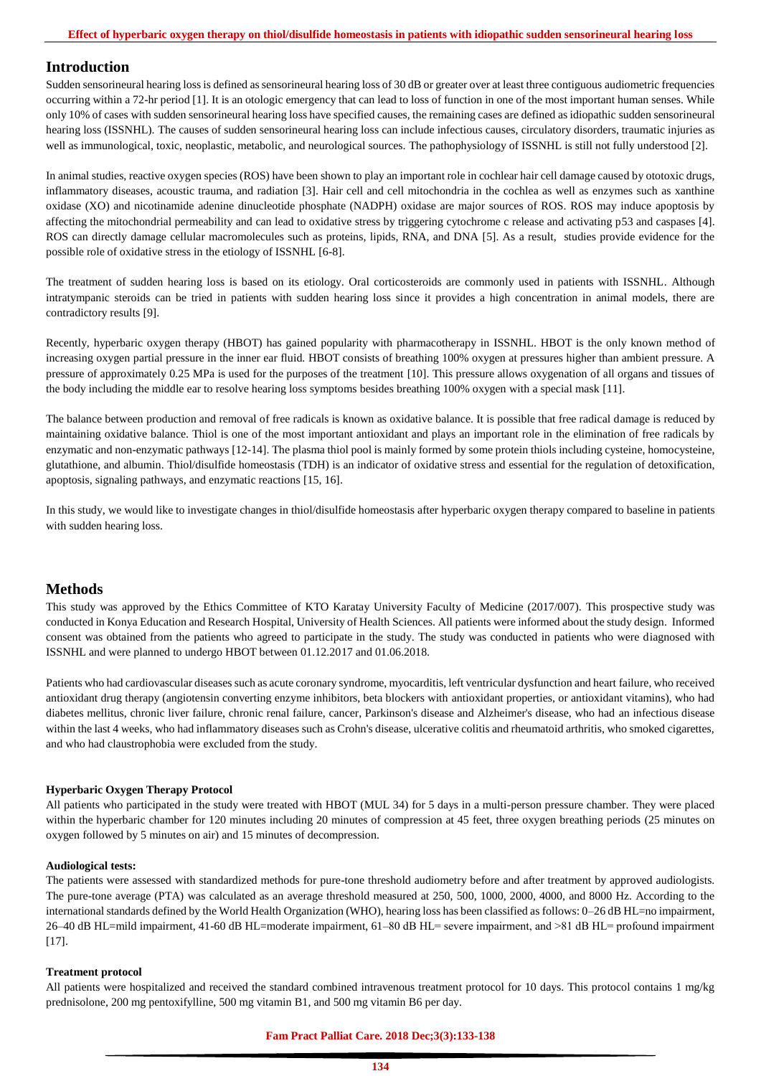#### **Introduction**

Sudden sensorineural hearing loss is defined as sensorineural hearing loss of 30 dB or greater over at least three contiguous audiometric frequencies occurring within a 72-hr period [1]. It is an otologic emergency that can lead to loss of function in one of the most important human senses. While only 10% of cases with sudden sensorineural hearing loss have specified causes, the remaining cases are defined as idiopathic sudden sensorineural hearing loss (ISSNHL). The causes of sudden sensorineural hearing loss can include infectious causes, circulatory disorders, traumatic injuries as well as immunological, toxic, neoplastic, metabolic, and neurological sources. The pathophysiology of ISSNHL is still not fully understood [2].

In animal studies, reactive oxygen species (ROS) have been shown to play an important role in cochlear hair cell damage caused by ototoxic drugs, inflammatory diseases, acoustic trauma, and radiation [3]. Hair cell and cell mitochondria in the cochlea as well as enzymes such as xanthine oxidase (XO) and nicotinamide adenine dinucleotide phosphate (NADPH) oxidase are major sources of ROS. ROS may induce apoptosis by affecting the mitochondrial permeability and can lead to oxidative stress by triggering cytochrome c release and activating p53 and caspases [4]. ROS can directly damage cellular macromolecules such as proteins, lipids, RNA, and DNA [5]. As a result, studies provide evidence for the possible role of oxidative stress in the etiology of ISSNHL [6-8].

The treatment of sudden hearing loss is based on its etiology. Oral corticosteroids are commonly used in patients with ISSNHL. Although intratympanic steroids can be tried in patients with sudden hearing loss since it provides a high concentration in animal models, there are contradictory results [9].

Recently, hyperbaric oxygen therapy (HBOT) has gained popularity with pharmacotherapy in ISSNHL. HBOT is the only known method of increasing oxygen partial pressure in the inner ear fluid. HBOT consists of breathing 100% oxygen at pressures higher than ambient pressure. A pressure of approximately 0.25 MPa is used for the purposes of the treatment [10]. This pressure allows oxygenation of all organs and tissues of the body including the middle ear to resolve hearing loss symptoms besides breathing 100% oxygen with a special mask [11].

The balance between production and removal of free radicals is known as oxidative balance. It is possible that free radical damage is reduced by maintaining oxidative balance. Thiol is one of the most important antioxidant and plays an important role in the elimination of free radicals by enzymatic and non-enzymatic pathways [12-14]. The plasma thiol pool is mainly formed by some protein thiols including cysteine, homocysteine, glutathione, and albumin. Thiol/disulfide homeostasis (TDH) is an indicator of oxidative stress and essential for the regulation of detoxification, apoptosis, signaling pathways, and enzymatic reactions [15, 16].

In this study, we would like to investigate changes in thiol/disulfide homeostasis after hyperbaric oxygen therapy compared to baseline in patients with sudden hearing loss.

#### **Methods**

This study was approved by the Ethics Committee of KTO Karatay University Faculty of Medicine (2017/007). This prospective study was conducted in Konya Education and Research Hospital, University of Health Sciences. All patients were informed about the study design. Informed consent was obtained from the patients who agreed to participate in the study. The study was conducted in patients who were diagnosed with ISSNHL and were planned to undergo HBOT between 01.12.2017 and 01.06.2018.

Patients who had cardiovascular diseases such as acute coronary syndrome, myocarditis, left ventricular dysfunction and heart failure, who received antioxidant drug therapy (angiotensin converting enzyme inhibitors, beta blockers with antioxidant properties, or antioxidant vitamins), who had diabetes mellitus, chronic liver failure, chronic renal failure, cancer, Parkinson's disease and Alzheimer's disease, who had an infectious disease within the last 4 weeks, who had inflammatory diseases such as Crohn's disease, ulcerative colitis and rheumatoid arthritis, who smoked cigarettes, and who had claustrophobia were excluded from the study.

#### **Hyperbaric Oxygen Therapy Protocol**

All patients who participated in the study were treated with HBOT (MUL 34) for 5 days in a multi-person pressure chamber. They were placed within the hyperbaric chamber for 120 minutes including 20 minutes of compression at 45 feet, three oxygen breathing periods (25 minutes on oxygen followed by 5 minutes on air) and 15 minutes of decompression.

#### **Audiological tests:**

The patients were assessed with standardized methods for pure-tone threshold audiometry before and after treatment by approved audiologists. The pure-tone average (PTA) was calculated as an average threshold measured at 250, 500, 1000, 2000, 4000, and 8000 Hz. According to the international standards defined by the World Health Organization (WHO), hearing loss has been classified as follows: 0–26 dB HL=no impairment, 26–40 dB HL=mild impairment, 41-60 dB HL=moderate impairment, 61–80 dB HL= severe impairment, and ˃81 dB HL= profound impairment [17].

#### **Treatment protocol**

All patients were hospitalized and received the standard combined intravenous treatment protocol for 10 days. This protocol contains 1 mg/kg prednisolone, 200 mg pentoxifylline, 500 mg vitamin B1, and 500 mg vitamin B6 per day.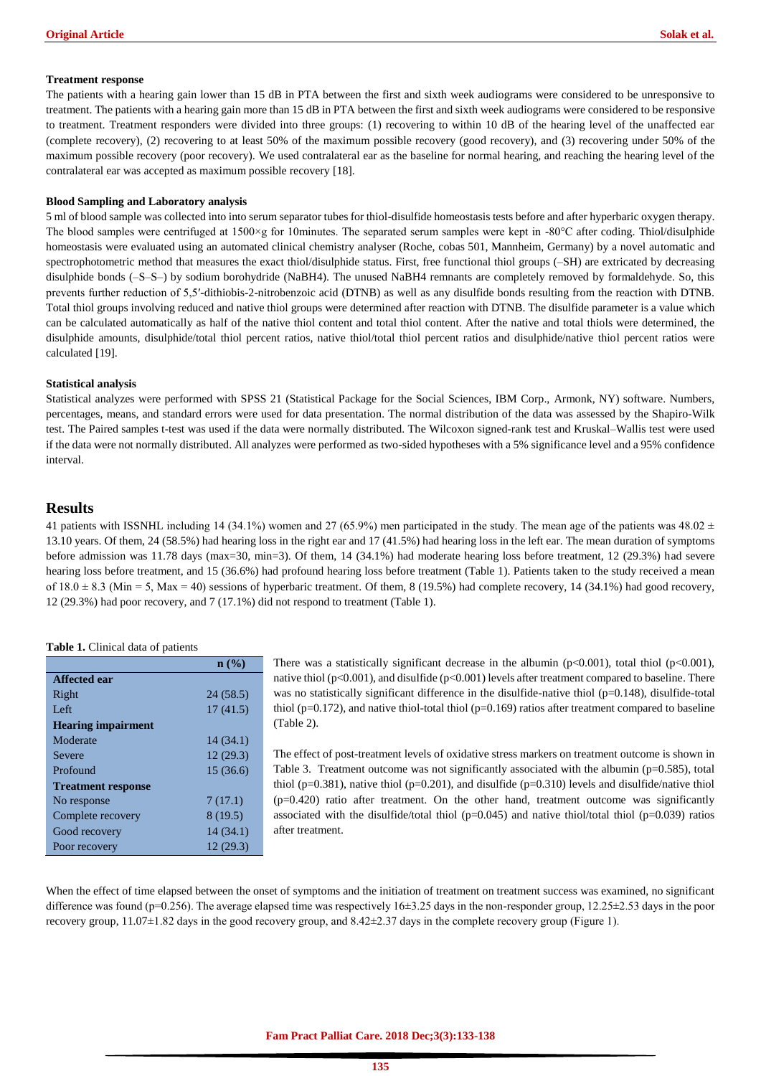#### **Treatment response**

The patients with a hearing gain lower than 15 dB in PTA between the first and sixth week audiograms were considered to be unresponsive to treatment. The patients with a hearing gain more than 15 dB in PTA between the first and sixth week audiograms were considered to be responsive to treatment. Treatment responders were divided into three groups: (1) recovering to within 10 dB of the hearing level of the unaffected ear (complete recovery), (2) recovering to at least 50% of the maximum possible recovery (good recovery), and (3) recovering under 50% of the maximum possible recovery (poor recovery). We used contralateral ear as the baseline for normal hearing, and reaching the hearing level of the contralateral ear was accepted as maximum possible recovery [18].

#### **Blood Sampling and Laboratory analysis**

5 ml of blood sample was collected into into serum separator tubes for thiol-disulfide homeostasis tests before and after hyperbaric oxygen therapy. The blood samples were centrifuged at  $1500 \times g$  for 10minutes. The separated serum samples were kept in -80 $^{\circ}$ C after coding. Thiol/disulphide homeostasis were evaluated using an automated clinical chemistry analyser (Roche, cobas 501, Mannheim, Germany) by a novel automatic and spectrophotometric method that measures the exact thiol/disulphide status. First, free functional thiol groups (–SH) are extricated by decreasing disulphide bonds (–S–S–) by sodium borohydride (NaBH4). The unused NaBH4 remnants are completely removed by formaldehyde. So, this prevents further reduction of 5,5′-dithiobis-2-nitrobenzoic acid (DTNB) as well as any disulfide bonds resulting from the reaction with DTNB. Total thiol groups involving reduced and native thiol groups were determined after reaction with DTNB. The disulfide parameter is a value which can be calculated automatically as half of the native thiol content and total thiol content. After the native and total thiols were determined, the disulphide amounts, disulphide/total thiol percent ratios, native thiol/total thiol percent ratios and disulphide/native thiol percent ratios were calculated [19].

#### **Statistical analysis**

Statistical analyzes were performed with SPSS 21 (Statistical Package for the Social Sciences, IBM Corp., Armonk, NY) software. Numbers, percentages, means, and standard errors were used for data presentation. The normal distribution of the data was assessed by the Shapiro-Wilk test. The Paired samples t-test was used if the data were normally distributed. The Wilcoxon signed-rank test and Kruskal–Wallis test were used if the data were not normally distributed. All analyzes were performed as two-sided hypotheses with a 5% significance level and a 95% confidence interval.

# **Results**

41 patients with ISSNHL including 14 (34.1%) women and 27 (65.9%) men participated in the study. The mean age of the patients was 48.02  $\pm$ 13.10 years. Of them, 24 (58.5%) had hearing loss in the right ear and 17 (41.5%) had hearing loss in the left ear. The mean duration of symptoms before admission was 11.78 days (max=30, min=3). Of them, 14 (34.1%) had moderate hearing loss before treatment, 12 (29.3%) had severe hearing loss before treatment, and 15 (36.6%) had profound hearing loss before treatment (Table 1). Patients taken to the study received a mean of  $18.0 \pm 8.3$  (Min = 5, Max = 40) sessions of hyperbaric treatment. Of them, 8 (19.5%) had complete recovery, 14 (34.1%) had good recovery, 12 (29.3%) had poor recovery, and 7 (17.1%) did not respond to treatment (Table 1).

#### **Table 1.** Clinical data of patients

|                           | $\mathbf{n}(\%)$ |
|---------------------------|------------------|
| Affected ear              |                  |
| Right                     | 24 (58.5)        |
| Left                      | 17(41.5)         |
| <b>Hearing impairment</b> |                  |
| Moderate                  | 14(34.1)         |
| Severe                    | 12(29.3)         |
| Profound                  | 15 (36.6)        |
| <b>Treatment response</b> |                  |
| No response               | 7(17.1)          |
| Complete recovery         | 8(19.5)          |
| Good recovery             | 14 (34.1)        |
| Poor recovery             | 12(29.3)         |

There was a statistically significant decrease in the albumin ( $p<0.001$ ), total thiol ( $p<0.001$ ), native thiol (p<0.001), and disulfide (p<0.001) levels after treatment compared to baseline. There was no statistically significant difference in the disulfide-native thiol (p=0.148), disulfide-total thiol ( $p=0.172$ ), and native thiol-total thiol ( $p=0.169$ ) ratios after treatment compared to baseline (Table 2).

The effect of post-treatment levels of oxidative stress markers on treatment outcome is shown in Table 3. Treatment outcome was not significantly associated with the albumin ( $p=0.585$ ), total thiol ( $p=0.381$ ), native thiol ( $p=0.201$ ), and disulfide ( $p=0.310$ ) levels and disulfide/native thiol  $(p=0.420)$  ratio after treatment. On the other hand, treatment outcome was significantly associated with the disulfide/total thiol ( $p=0.045$ ) and native thiol/total thiol ( $p=0.039$ ) ratios after treatment.

When the effect of time elapsed between the onset of symptoms and the initiation of treatment on treatment success was examined, no significant difference was found (p=0.256). The average elapsed time was respectively 16±3.25 days in the non-responder group, 12.25±2.53 days in the poor recovery group,  $11.07\pm1.82$  days in the good recovery group, and  $8.42\pm2.37$  days in the complete recovery group (Figure 1).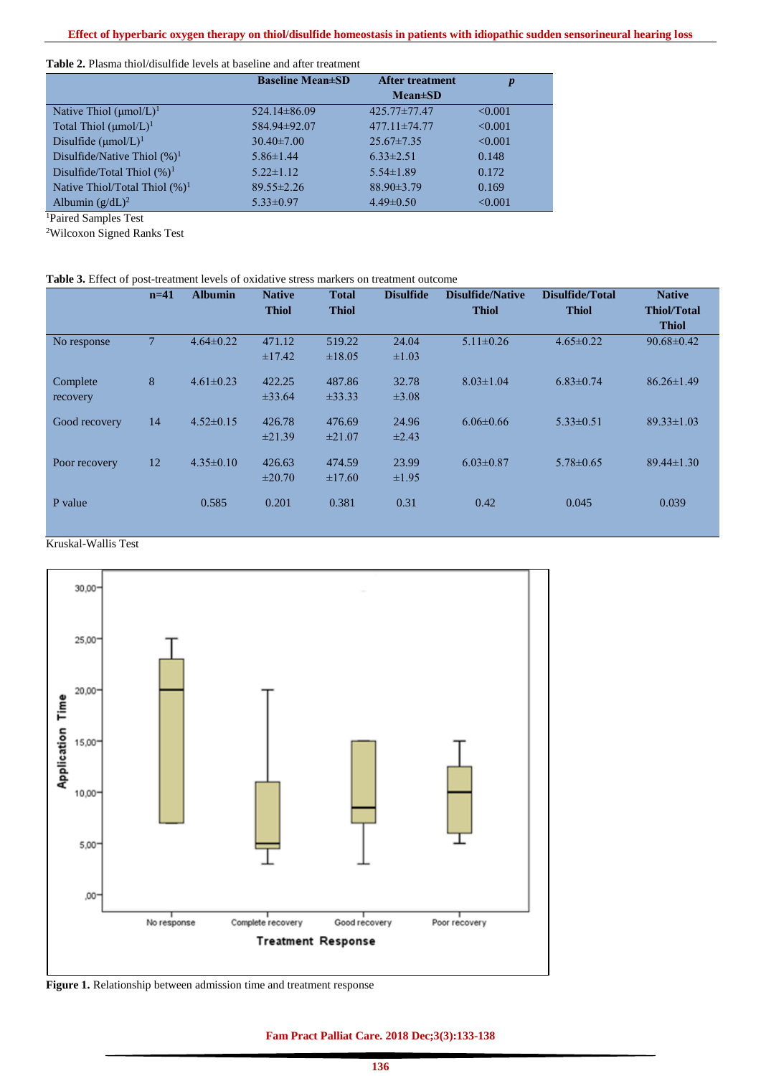#### **Table 2.** Plasma thiol/disulfide levels at baseline and after treatment

|                                    | <b>Baseline Mean</b> ±SD | <b>After treatment</b> |         |  |
|------------------------------------|--------------------------|------------------------|---------|--|
|                                    |                          | $Mean \pm SD$          |         |  |
| Native Thiol $(\mu mol/L)^1$       | $524.14\pm86.09$         | 425.77±77.47           | < 0.001 |  |
| Total Thiol $(\mu \text{mol/L})^1$ | 584.94±92.07             | $477.11 \pm 74.77$     | < 0.001 |  |
| Disulfide $(\mu \text{mol/L})^1$   | $30.40 \pm 7.00$         | $25.67 \pm 7.35$       | < 0.001 |  |
| Disulfide/Native Thiol $(\%)^1$    | $5.86 \pm 1.44$          | $6.33 \pm 2.51$        | 0.148   |  |
| Disulfide/Total Thiol $(\%)^1$     | $5.22 \pm 1.12$          | $5.54 \pm 1.89$        | 0.172   |  |
| Native Thiol/Total Thiol $(\%)^1$  | $89.55 \pm 2.26$         | $88.90 \pm 3.79$       | 0.169   |  |
| Albumin $(g/dL)^2$                 | $5.33 \pm 0.97$          | $4.49 \pm 0.50$        | < 0.001 |  |

<sup>1</sup>Paired Samples Test

<sup>2</sup>Wilcoxon Signed Ranks Test

#### **Table 3.** Effect of post-treatment levels of oxidative stress markers on treatment outcome

|               | $n=41$         | <b>Albumin</b>  | <b>Native</b> | <b>Total</b> | <b>Disulfide</b> | <b>Disulfide/Native</b> | Disulfide/Total | <b>Native</b>      |
|---------------|----------------|-----------------|---------------|--------------|------------------|-------------------------|-----------------|--------------------|
|               |                |                 | <b>Thiol</b>  | <b>Thiol</b> |                  | <b>Thiol</b>            | <b>Thiol</b>    | <b>Thiol/Total</b> |
|               |                |                 |               |              |                  |                         |                 | <b>Thiol</b>       |
| No response   | $\overline{7}$ | $4.64 \pm 0.22$ | 471.12        | 519.22       | 24.04            | $5.11 \pm 0.26$         | $4.65 \pm 0.22$ | $90.68 \pm 0.42$   |
|               |                |                 | $\pm$ 17.42   | ±18.05       | $\pm 1.03$       |                         |                 |                    |
| Complete      | 8              | $4.61 \pm 0.23$ | 422.25        | 487.86       | 32.78            | $8.03 \pm 1.04$         | $6.83 \pm 0.74$ | $86.26 \pm 1.49$   |
| recovery      |                |                 | ±33.64        | $\pm 33.33$  | $\pm 3.08$       |                         |                 |                    |
|               |                |                 |               |              |                  |                         |                 |                    |
| Good recovery | 14             | $4.52 \pm 0.15$ | 426.78        | 476.69       | 24.96            | $6.06 \pm 0.66$         | $5.33 \pm 0.51$ | $89.33 \pm 1.03$   |
|               |                |                 | ±21.39        | $\pm 21.07$  | $\pm 2.43$       |                         |                 |                    |
| Poor recovery | 12             | $4.35\pm0.10$   | 426.63        | 474.59       | 23.99            | $6.03 \pm 0.87$         | $5.78 \pm 0.65$ | $89.44 \pm 1.30$   |
|               |                |                 | $\pm 20.70$   | $\pm 17.60$  | $\pm 1.95$       |                         |                 |                    |
|               |                |                 |               |              |                  |                         |                 |                    |
| P value       |                | 0.585           | 0.201         | 0.381        | 0.31             | 0.42                    | 0.045           | 0.039              |
|               |                |                 |               |              |                  |                         |                 |                    |

# Kruskal-Wallis Test



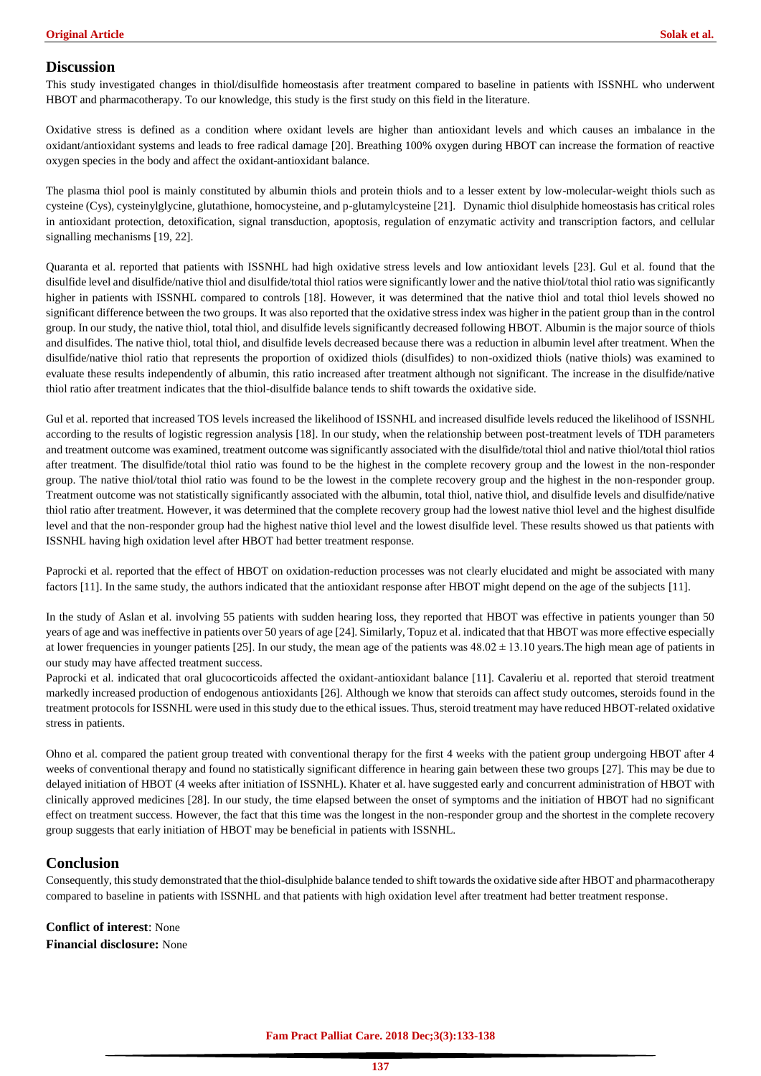# **Discussion**

This study investigated changes in thiol/disulfide homeostasis after treatment compared to baseline in patients with ISSNHL who underwent HBOT and pharmacotherapy. To our knowledge, this study is the first study on this field in the literature.

Oxidative stress is defined as a condition where oxidant levels are higher than antioxidant levels and which causes an imbalance in the oxidant/antioxidant systems and leads to free radical damage [20]. Breathing 100% oxygen during HBOT can increase the formation of reactive oxygen species in the body and affect the oxidant-antioxidant balance.

The plasma thiol pool is mainly constituted by albumin thiols and protein thiols and to a lesser extent by low-molecular-weight thiols such as cysteine (Cys), cysteinylglycine, glutathione, homocysteine, and p-glutamylcysteine [21]. Dynamic thiol disulphide homeostasis has critical roles in antioxidant protection, detoxification, signal transduction, apoptosis, regulation of enzymatic activity and transcription factors, and cellular signalling mechanisms [19, 22].

Quaranta et al. reported that patients with ISSNHL had high oxidative stress levels and low antioxidant levels [23]. Gul et al. found that the disulfide level and disulfide/native thiol and disulfide/total thiol ratios were significantly lower and the native thiol/total thiol ratio was significantly higher in patients with ISSNHL compared to controls [18]. However, it was determined that the native thiol and total thiol levels showed no significant difference between the two groups. It was also reported that the oxidative stress index was higher in the patient group than in the control group. In our study, the native thiol, total thiol, and disulfide levels significantly decreased following HBOT. Albumin is the major source of thiols and disulfides. The native thiol, total thiol, and disulfide levels decreased because there was a reduction in albumin level after treatment. When the disulfide/native thiol ratio that represents the proportion of oxidized thiols (disulfides) to non-oxidized thiols (native thiols) was examined to evaluate these results independently of albumin, this ratio increased after treatment although not significant. The increase in the disulfide/native thiol ratio after treatment indicates that the thiol-disulfide balance tends to shift towards the oxidative side.

Gul et al. reported that increased TOS levels increased the likelihood of ISSNHL and increased disulfide levels reduced the likelihood of ISSNHL according to the results of logistic regression analysis [18]. In our study, when the relationship between post-treatment levels of TDH parameters and treatment outcome was examined, treatment outcome was significantly associated with the disulfide/total thiol and native thiol/total thiol ratios after treatment. The disulfide/total thiol ratio was found to be the highest in the complete recovery group and the lowest in the non-responder group. The native thiol/total thiol ratio was found to be the lowest in the complete recovery group and the highest in the non-responder group. Treatment outcome was not statistically significantly associated with the albumin, total thiol, native thiol, and disulfide levels and disulfide/native thiol ratio after treatment. However, it was determined that the complete recovery group had the lowest native thiol level and the highest disulfide level and that the non-responder group had the highest native thiol level and the lowest disulfide level. These results showed us that patients with ISSNHL having high oxidation level after HBOT had better treatment response.

Paprocki et al. reported that the effect of HBOT on oxidation-reduction processes was not clearly elucidated and might be associated with many factors [11]. In the same study, the authors indicated that the antioxidant response after HBOT might depend on the age of the subjects [11].

In the study of Aslan et al. involving 55 patients with sudden hearing loss, they reported that HBOT was effective in patients younger than 50 years of age and was ineffective in patients over 50 years of age [24]. Similarly, Topuz et al. indicated that that HBOT was more effective especially at lower frequencies in younger patients [25]. In our study, the mean age of the patients was  $48.02 \pm 13.10$  years. The high mean age of patients in our study may have affected treatment success.

Paprocki et al. indicated that oral glucocorticoids affected the oxidant-antioxidant balance [11]. Cavaleriu et al. reported that steroid treatment markedly increased production of endogenous antioxidants [26]. Although we know that steroids can affect study outcomes, steroids found in the treatment protocols for ISSNHL were used in this study due to the ethical issues. Thus, steroid treatment may have reduced HBOT-related oxidative stress in patients.

Ohno et al. compared the patient group treated with conventional therapy for the first 4 weeks with the patient group undergoing HBOT after 4 weeks of conventional therapy and found no statistically significant difference in hearing gain between these two groups [27]. This may be due to delayed initiation of HBOT (4 weeks after initiation of ISSNHL). Khater et al. have suggested early and concurrent administration of HBOT with clinically approved medicines [28]. In our study, the time elapsed between the onset of symptoms and the initiation of HBOT had no significant effect on treatment success. However, the fact that this time was the longest in the non-responder group and the shortest in the complete recovery group suggests that early initiation of HBOT may be beneficial in patients with ISSNHL.

# **Conclusion**

Consequently, this study demonstrated that the thiol-disulphide balance tended to shift towards the oxidative side after HBOT and pharmacotherapy compared to baseline in patients with ISSNHL and that patients with high oxidation level after treatment had better treatment response.

**Conflict of interest**: None **Financial disclosure:** None